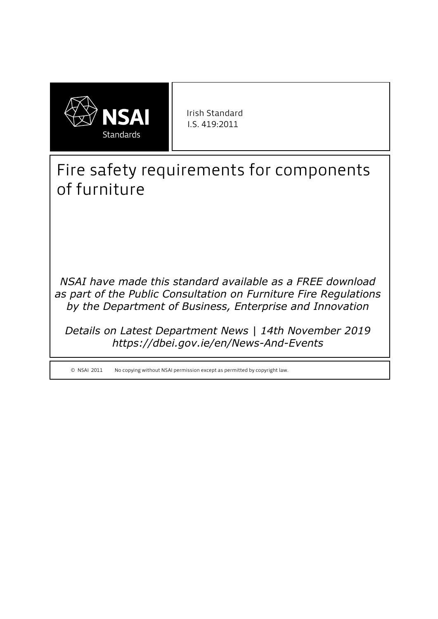

Irish Standard I.S. 419:2011

# Fire safety requirements for components of furniture

*NSAI have made this standard available as a FREE download as part of the Public Consultation on Furniture Fire Regulations by the Department of Business, Enterprise and Innovation* 

*Details on Latest Department News | 14th November 2019 https://dbei.gov.ie/en/News-And-Events*

© NSAI 2011 No copying without NSAI permission except as permitted by copyright law.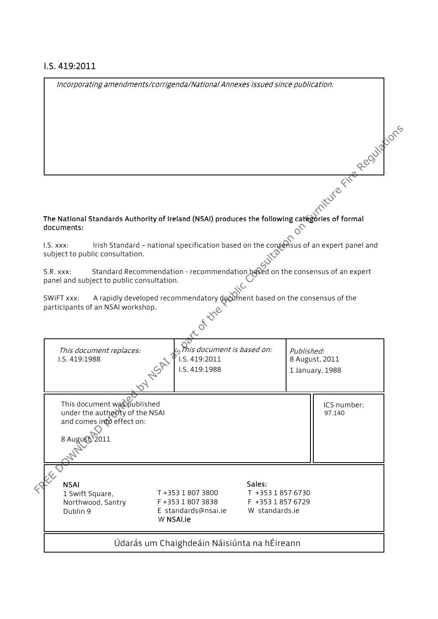#### I.S. 419:2011

Incorporating amendments/corrigenda/National Annexes issued since publication:

|                                                                                                                        |                                                                                            |                                                                                                                                                                     |        |                                                          | Regulations           |
|------------------------------------------------------------------------------------------------------------------------|--------------------------------------------------------------------------------------------|---------------------------------------------------------------------------------------------------------------------------------------------------------------------|--------|----------------------------------------------------------|-----------------------|
| documents:                                                                                                             |                                                                                            | The National Standards Authority of Ireland (NSAI) produces the following categories of formal                                                                      |        |                                                          | iture Fire            |
| I.S. XXX:                                                                                                              | subject to public consultation.                                                            | Irish Standard - national specification based on the consensus of an expert panel and                                                                               |        |                                                          |                       |
| S.R. xxx:<br>SWIFT xxx:                                                                                                | panel and subject to public consultation.<br>participants of an NSAI workshop.             | Standard Recommendation - recommendation based on the consensus of an expert<br>A rapidly developed recommendatory document based on the consensus of the<br>of the |        |                                                          |                       |
| This document is based on:<br>This document replaces:<br>Published:<br>I.S. 419:2011<br>I.S. 419:1988<br>I.S. 419:1988 |                                                                                            |                                                                                                                                                                     |        | 8 August, 2011<br>1 January, 1988                        |                       |
| 8 August                                                                                                               | This document was published<br>under the authofty of the NSAI<br>and comes into effect on: |                                                                                                                                                                     |        |                                                          | ICS number:<br>97.140 |
| <b>NSAI</b><br>Dublin 9                                                                                                | 1 Swift Square,<br>Northwood, Santry                                                       | T+353 1 807 3800<br>F +353 1 807 3838<br>E standards@nsai.ie<br>W NSAI.ie                                                                                           | Sales: | T +353 1 857 6730<br>F +353 1 857 6729<br>W standards.ie |                       |
|                                                                                                                        |                                                                                            | Údarás um Chaighdeáin Náisiúnta na hÉireann                                                                                                                         |        |                                                          |                       |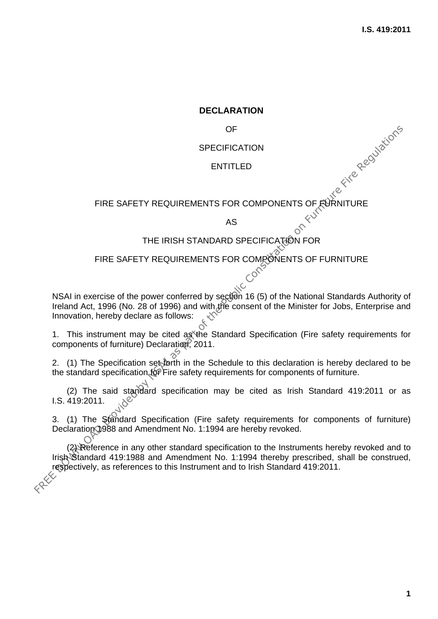#### **DECLARATION**

OF

#### **SPECIFICATION**

#### ENTITLED

# ENTITLED<br>ENTITLED<br>FIRE SAFETY REQUIREMENTS FOR COMPONENTS OF FURNITURE

AS

# THE IRISH STANDARD SPECIFICATION FOR

#### FIRE SAFETY REQUIREMENTS FOR COMPONENTS OF FURNITURE

NSAI in exercise of the power conferred by section 16 (5) of the National Standards Authority of Ireland Act, 1996 (No. 28 of 1996) and with the consent of the Minister for Jobs, Enterprise and Innovation, hereby declare as follows:

1. This instrument may be cited as the Standard Specification (Fire safety requirements for components of furniture) Declaration, 2011.

2. (1) The Specification set forth in the Schedule to this declaration is hereby declared to be the standard specification for Fire safety requirements for components of furniture.

(2) The said standard specification may be cited as Irish Standard 419:2011 or as I.S. 419:2011.

3. (1) The Standard Specification (Fire safety requirements for components of furniture) Declaration 1988 and Amendment No. 1:1994 are hereby revoked.

(2) Reference in any other standard specification to the Instruments hereby revoked and to Irish Standard 419:1988 and Amendment No. 1:1994 thereby prescribed, shall be construed, respectively, as references to this Instrument and to Irish Standard 419:2011. FREE SAFETY REQUIREMENTS FOR COMPONENTS OF RURNITURE<br>
FIRE SAFETY REQUIREMENTS FOR COMPONENTS OF RURNITURE<br>
THE IRISH STANDARD SPECIFICATION FOR<br>
FIRE SAFETY REQUIREMENTS FOR COMPONENTS OF FURNITURE<br>
NSAI in exercise of t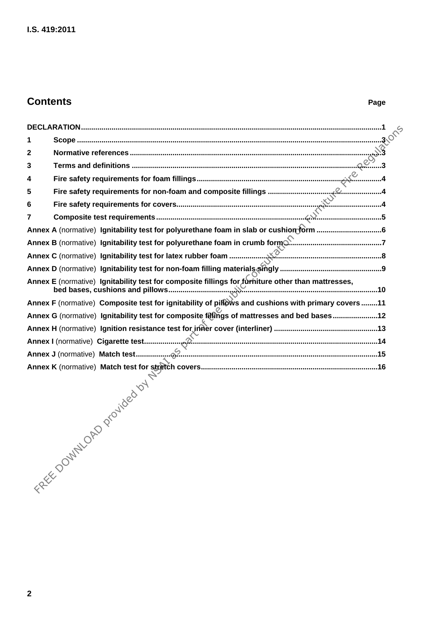# **Contents** Page

| 1                               |                                                                                                   |  |  |  |  |  |  |
|---------------------------------|---------------------------------------------------------------------------------------------------|--|--|--|--|--|--|
| $\mathbf{2}$                    |                                                                                                   |  |  |  |  |  |  |
| 3                               |                                                                                                   |  |  |  |  |  |  |
| 4                               |                                                                                                   |  |  |  |  |  |  |
| 5                               |                                                                                                   |  |  |  |  |  |  |
| 6                               |                                                                                                   |  |  |  |  |  |  |
| 7                               |                                                                                                   |  |  |  |  |  |  |
|                                 |                                                                                                   |  |  |  |  |  |  |
|                                 |                                                                                                   |  |  |  |  |  |  |
|                                 |                                                                                                   |  |  |  |  |  |  |
|                                 |                                                                                                   |  |  |  |  |  |  |
|                                 | Annex E (normative) Ignitability test for composite fillings for furniture other than mattresses, |  |  |  |  |  |  |
|                                 |                                                                                                   |  |  |  |  |  |  |
|                                 | Annex G (normative) Ignitability test for composite fillings of mattresses and bed bases12        |  |  |  |  |  |  |
|                                 |                                                                                                   |  |  |  |  |  |  |
|                                 |                                                                                                   |  |  |  |  |  |  |
|                                 |                                                                                                   |  |  |  |  |  |  |
|                                 |                                                                                                   |  |  |  |  |  |  |
| FREEDOUTILOAD Provided by Night |                                                                                                   |  |  |  |  |  |  |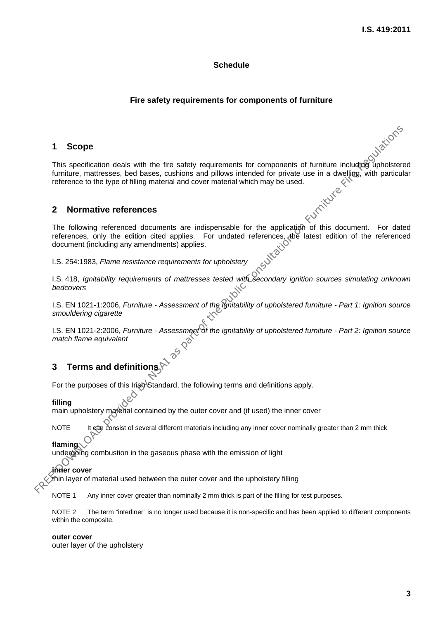#### **Schedule**

#### **Fire safety requirements for components of furniture**

#### **1 Scope**

This specification deals with the fire safety requirements for components of furniture including upholstered furniture, mattresses, bed bases, cushions and pillows intended for private use in a dwelling, with particular reference to the type of filling material and cover material which may be used.<br>
2 **Normative references** FREE SCOPE<br>
This specification deals with the fire safety requirements for components of furniture including upholster<br>
turniture, mattresses, bed bases, cushons and pillows intended for phrate use in a dwelling, with part

#### **2 Normative references**

The following referenced documents are indispensable for the application of this document. For dated references, only the edition cited applies. For undated references, the latest edition of the referenced document (including any amendments) applies.

I.S. 254:1983, *Flame resistance requirements for upholstery*

I.S. 418, *Ignitability requirements of mattresses tested with secondary ignition sources simulating unknown bedcovers*

I.S. EN 1021-1:2006, *Furniture - Assessment of the ignitability of upholstered furniture - Part 1: Ignition source smouldering cigarette*

I.S. EN 1021-2:2006, *Furniture - Assessment of the ignitability of upholstered furniture - Part 2: Ignition source match flame equivalent*

#### **3 Terms and definitions**

For the purposes of this Irish Standard, the following terms and definitions apply.<br> **filling** 

#### **filling**

main upholstery material contained by the outer cover and (if used) the inner cover

NOTE It can consist of several different materials including any inner cover nominally greater than 2 mm thick

#### **flaming**

undergoing combustion in the gaseous phase with the emission of light

#### **inner cover**

thin layer of material used between the outer cover and the upholstery filling

NOTE 1 Any inner cover greater than nominally 2 mm thick is part of the filling for test purposes.

NOTE 2 The term "interliner" is no longer used because it is non-specific and has been applied to different components within the composite.

#### **outer cover**

outer layer of the upholstery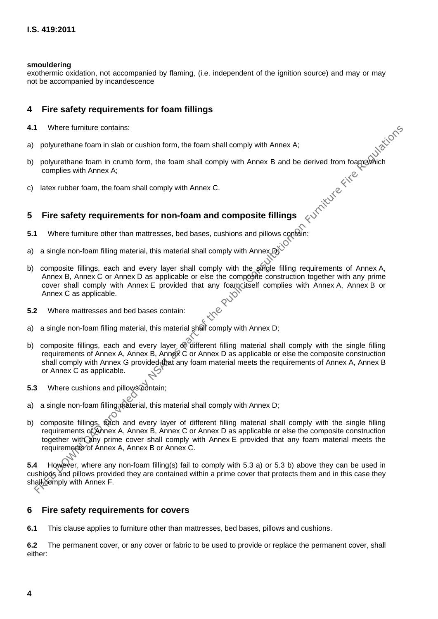#### **smouldering**

exothermic oxidation, not accompanied by flaming, (i.e. independent of the ignition source) and may or may not be accompanied by incandescence

#### **4 Fire safety requirements for foam fillings**

- **4.1** Where furniture contains:
- a) polyurethane foam in slab or cushion form, the foam shall comply with Annex A;
- b) polyurethane foam in slab or cushion form, the foam shall comply with Annex A;<br>b) polyurethane foam in crumb form, the foam shall comply with Annex B and be derived from foam which<br>complies with Annex A;<br>c) latex rubbe complies with Annex A;
- c) latex rubber foam, the foam shall comply with Annex C.

#### **5 Fire safety requirements for non-foam and composite fillings**

- **5.1** Where furniture other than mattresses, bed bases, cushions and pillows contain:
- a) a single non-foam filling material, this material shall comply with Annex  $\mathbb{R}^{\leq C}$
- b) composite fillings, each and every layer shall comply with the single filling requirements of Annex A, Annex B, Annex C or Annex D as applicable or else the composite construction together with any prime cover shall comply with Annex E provided that any foam itself complies with Annex A, Annex B or Annex C as applicable.
- **5.2** Where mattresses and bed bases contain:
- a) a single non-foam filling material, this material shall comply with Annex D;
- b) composite fillings, each and every layer of different filling material shall comply with the single filling requirements of Annex A, Annex B, Annex C or Annex D as applicable or else the composite construction shall comply with Annex G provided that any foam material meets the requirements of Annex A, Annex B or Annex C as applicable.
- 5.3 Where cushions and pillows contain;
- a) a single non-foam filling material, this material shall comply with Annex D;
- b) composite fillings, each and every layer of different filling material shall comply with the single filling requirements of Annex A, Annex B, Annex C or Annex D as applicable or else the composite construction together with any prime cover shall comply with Annex E provided that any foam material meets the requirements of Annex A, Annex B or Annex C. FREE Uniture contains:<br>
For polyurethane form in sich or restriction, the foam shall comply with Annex B and be derived from foam<br>
complies with Annex A;<br>
latex rubber foam, the foam shall comply with Annex C.<br>
latex rubb

**5.4** However, where any non-foam filling(s) fail to comply with 5.3 a) or 5.3 b) above they can be used in cushions and pillows provided they are contained within a prime cover that protects them and in this case they shall comply with Annex F.

#### **6 Fire safety requirements for covers**

**6.1** This clause applies to furniture other than mattresses, bed bases, pillows and cushions.

**6.2** The permanent cover, or any cover or fabric to be used to provide or replace the permanent cover, shall either: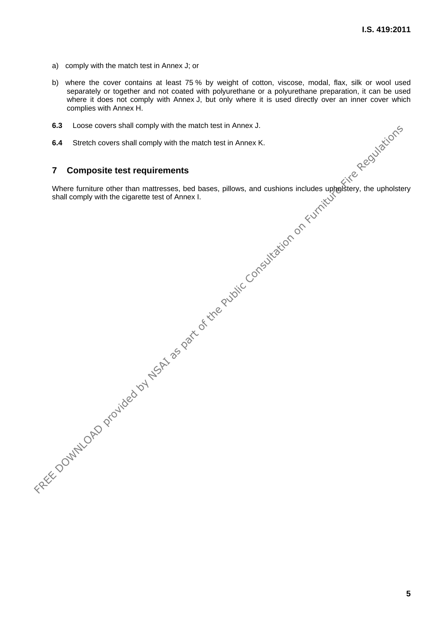- a) comply with the match test in Annex J; or
- b) where the cover contains at least 75 % by weight of cotton, viscose, modal, flax, silk or wool used separately or together and not coated with polyurethane or a polyurethane preparation, it can be used where it does not comply with Annex J, but only where it is used directly over an inner cover which complies with Annex H.
- **6.3** Loose covers shall comply with the match test in Annex J.
- **6.4** Stretch covers shall comply with the match test in Annex K.

#### **7 Composite test requirements**

Where furniture other than mattresses, bed bases, pillows, and cushions includes upholstery, the upholstery shall comply with the cigarette test of Annex I. FREE DOWNLOAD PROVIDED AND PROVIDED AND PROVIDED AND PROVIDED AND PROVIDED AND PROVIDED AND CONSULTATION ON THE PUBLIC CONSULTATION ON THE PUBLIC CONSULTATION ON FURNITURE FIRE AND ALL ASSESS AND DESIRED AND REGULATION ON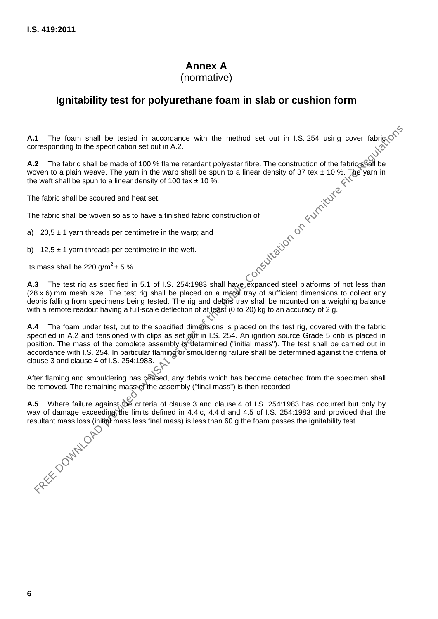# **Annex A**

(normative)

# **Ignitability test for polyurethane foam in slab or cushion form**

**A.1** The foam shall be tested in accordance with the method set out in I.S. 254 using cover fabric  $\circ$  corresponding to the specification set out in A 2 corresponding to the specification set out in A.2.

**A.2** The fabric shall be made of 100 % flame retardant polyester fibre. The construction of the fabric shall be woven to a plain weave. The yarn in the warp shall be spun to a linear density of 37 tex  $\pm$  10 %. The yarn in the weft shall be spun to a linear density of 100 tex  $\pm$  10 %. Hexper Don-Suite Consultation on Furniture River

The fabric shall be scoured and heat set.

The fabric shall be woven so as to have a finished fabric construction of

a) 20,5  $\pm$  1 yarn threads per centimetre in the warp; and

b) 12,5  $\pm$  1 yarn threads per centimetre in the weft.

Its mass shall be 220 g/m<sup>2</sup>  $\pm$  5 %

**A.3** The test rig as specified in 5.1 of I.S. 254:1983 shall have expanded steel platforms of not less than  $(28 \times 6)$  mm mesh size. The test rig shall be placed on a metal tray of sufficient dimensions to collect any debris falling from specimens being tested. The rig and debris tray shall be mounted on a weighing balance with a remote readout having a full-scale deflection of at least (0 to 20) kg to an accuracy of 2 g.

**A.4** The foam under test, cut to the specified dimensions is placed on the test rig, covered with the fabric specified in A.2 and tensioned with clips as set out in I.S. 254. An ignition source Grade 5 crib is placed in position. The mass of the complete assembly is determined ("initial mass"). The test shall be carried out in accordance with I.S. 254. In particular flaming or smouldering failure shall be determined against the criteria of clause 3 and clause 4 of I.S. 254:1983.

After flaming and smouldering has ceased, any debris which has become detached from the specimen shall be removed. The remaining mass of the assembly ("final mass") is then recorded.

**A.5** Where failure against the criteria of clause 3 and clause 4 of I.S. 254:1983 has occurred but only by way of damage exceeding the limits defined in 4.4 c, 4.4 d and 4.5 of I.S. 254:1983 and provided that the resultant mass loss (initial mass less final mass) is less than 60 g the foam passes the ignitability test. resultant mass loss (initial mass less final mass) is less than 60 g the foam passes the ignitability test.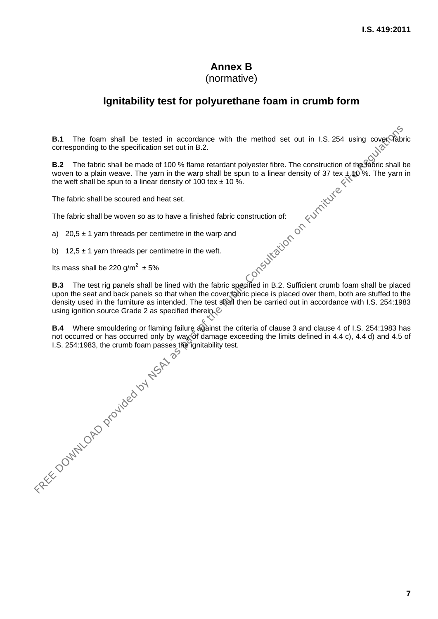#### **Annex B**  (normative)

# **Ignitability test for polyurethane foam in crumb form**

**B.1** The foam shall be tested in accordance with the method set out in I.S. 254 using cover fabric corresponding to the specification set out in B.2.

**B.2** The fabric shall be made of 100 % flame retardant polyester fibre. The construction of the fabric shall be woven to a plain weave. The yarn in the warp shall be spun to a linear density of 37 tex  $\pm$ , to %. The yarn in the weft shall be spun to a linear density of 100 tex  $\pm$  10 %.

The fabric shall be scoured and heat set.

The fabric shall be woven so as to have a finished fabric construction of:

a) 20,5  $\pm$  1 yarn threads per centimetre in the warp and

b) 12,5  $\pm$  1 yarn threads per centimetre in the weft.

Its mass shall be 220 g/m<sup>2</sup>  $\pm$  5%

**B.3** The test rig panels shall be lined with the fabric specified in B.2. Sufficient crumb foam shall be placed upon the seat and back panels so that when the cover fabric piece is placed over them, both are stuffed to the density used in the furniture as intended. The test shall then be carried out in accordance with I.S. 254:1983 using ignition source Grade 2 as specified therein.

not occurred or has occurred only by way of damage exceeding the limits defined in 4.4 c), 4.4 d) and 4.5 of I.S. 254:1983, the crumb foam passes the ignitability test.

**B.4** Where smouldering or flaming failure against the criteria of clause 3 and clause 4 of I.S. 254:1983 has not occurred or has occurred measures the ignitability test.<br>
I.S. 254:1983, the crumb foam passes the ignitabil **EA.** The foam shall be tested in accordance with the method set out in 1.5.254 using cover<br>Corresponding to the spart on Form of the Marine relation to your fice. The construction of the SMM is chall<br>the worth to a plain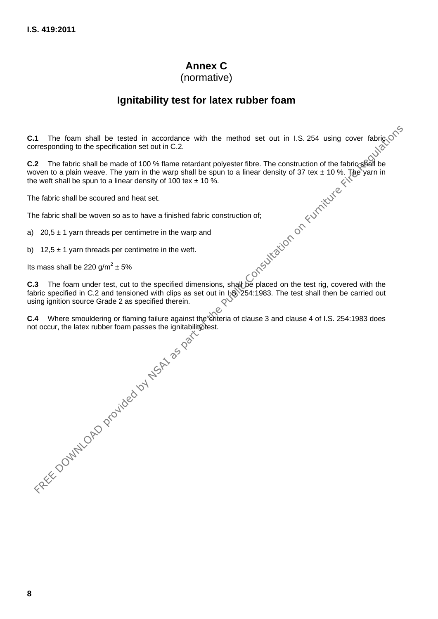# **Annex C**

(normative)

# **Ignitability test for latex rubber foam**

**C.1** The foam shall be tested in accordance with the method set out in I.S. 254 using cover fabrice  $\mathcal{S}^{\diamond}$ corresponding to the specification set out in C.2.

**C.2** The fabric shall be made of 100 % flame retardant polyester fibre. The construction of the fabric shall be woven to a plain weave. The yarn in the warp shall be spun to a linear density of 37 tex  $\pm$  10 %. The yarn in the weft shall be spun to a linear density of 100 tex  $\pm$  10 %. FREE DOWNLOAD the specified on the consultation of the finance with the method set out in 1.5. 254 using cover fabric strates of the Public Consultation of the finance fabric State of the Public Consultation of the Figure

The fabric shall be scoured and heat set.

The fabric shall be woven so as to have a finished fabric construction of;

a) 20,5  $\pm$  1 yarn threads per centimetre in the warp and

b) 12,5  $\pm$  1 yarn threads per centimetre in the weft.

Its mass shall be 220 g/m<sup>2</sup>  $\pm$  5% ± 5%

**C.3** The foam under test, cut to the specified dimensions, shall be placed on the test rig, covered with the fabric specified in C.2 and tensioned with clips as set out in  $\sqrt{254:1983}$ . The test shall then be carried out using ignition source Grade 2 as specified therein.

**C.4** Where smouldering or flaming failure against the criteria of clause 3 and clause 4 of I.S. 254:1983 does<br>not occur, the latex rubber foam passes the ignitability best.<br> $\frac{3}{2}$ <br> $\frac{3}{2}$ not occur, the latex rubber foam passes the ignitability test.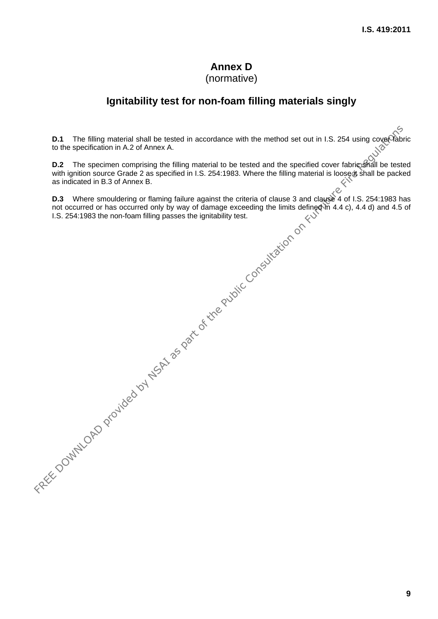## **Annex D**  (normative)

# **Ignitability test for non-foam filling materials singly**

**D.1** The filling material shall be tested in accordance with the method set out in I.S. 254 using cover fabric to the specification in A.2 of Annex A.

**D.2** The specimen comprising the filling material to be tested and the specified cover fabric shall be tested with ignition source Grade 2 as specified in I.S. 254:1983. Where the filling material is loose it shall be packed as indicated in B.3 of Annex B.

**D.3** Where smouldering or flaming failure against the criteria of clause 3 and clause 4 of I.S. 254:1983 has not occurred or has occurred only by way of damage exceeding the limits defined in 4.4 c), 4.4 d) and 4.5 of I.S. 254:1983 the non-foam filling passes the ignitability test. **D.1** The filling material shall be tested in accordance with the method set out in I.S. 254 using coupled<br>to the specification in A2 of Anna R.<br> **D.2** The specimen comprising the filling material to be losted and the spe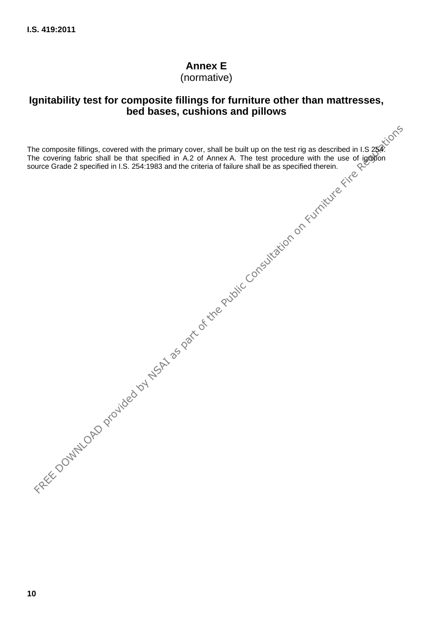# **Annex E**

(normative)

# **Ignitability test for composite fillings for furniture other than mattresses, bed bases, cushions and pillows**

The composite fillings, covered with the primary cover, shall be built up on the test rig as described in I.S  $254$ . The covering fabric shall be that specified in A.2 of Annex A. The test procedure with the use of ignition source Grade 2 specified in I.S. 254:1983 and the criteria of failure shall be as specified therein. FREE DOWNLOAD provided by NSA is a part of the Public Consultation on Furniture Regulation on Furniture Fire Regulation on Furniture Regulation on Furniture Fire Regulation on Furniture Regulation on Furniture Fire Regulat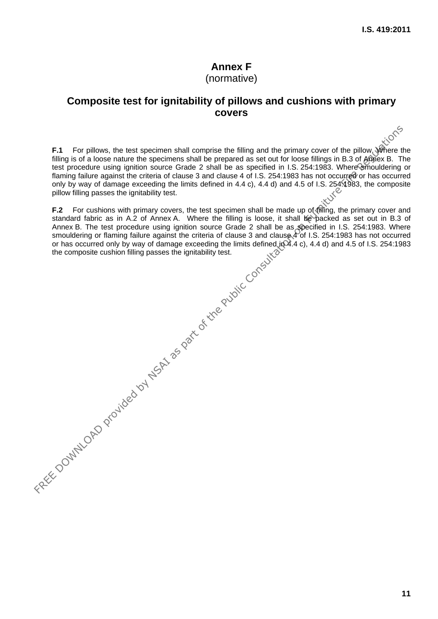## **Annex F**  (normative)

# **Composite test for ignitability of pillows and cushions with primary covers**

**F.1** For pillows, the test specimen shall comprise the filling and the primary cover of the pillow. Where the filling is of a loose nature the specimens shall be prepared as set out for loose fillings in B.3 of Annex B. The test procedure using ignition source Grade 2 shall be as specified in I.S. 254:1983. Where smouldering or flaming failure against the criteria of clause 3 and clause 4 of I.S. 254:1983 has not occurred or has occurred only by way of damage exceeding the limits defined in 4.4 c), 4.4 d) and 4.5 of I.S. 254:1983, the composite pillow filling passes the ignitability test. F.1 For pillows, the test specimen shall comprise the liling and the primary cover of the pillow, when the filling is of a loose nature the specimens shall be prepared as est out for foces fillings in B.3 of ABRios. B. Th

**F.2** For cushions with primary covers, the test specimen shall be made up of filling, the primary cover and standard fabric as in A.2 of Annex A. Where the filling is loose, it shall be packed as set out in B.3 of Annex B. The test procedure using ignition source Grade 2 shall be as specified in I.S. 254:1983. Where smouldering or flaming failure against the criteria of clause 3 and clause 4 of I.S. 254:1983 has not occurred or has occurred only by way of damage exceeding the limits defined in 4.4 c), 4.4 d) and 4.5 of I.S. 254:1983 the composite cushion filling passes the ignitability test.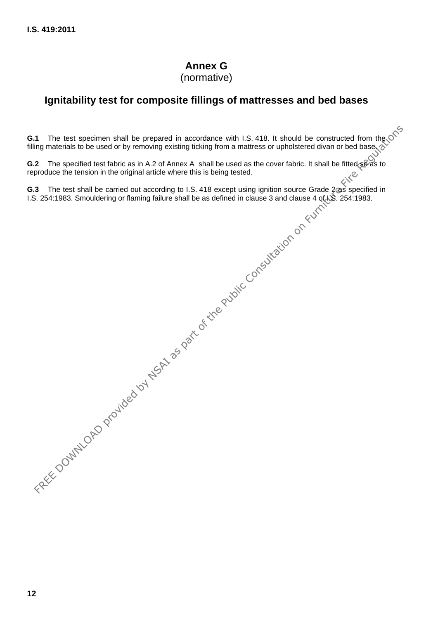# **Annex G**

(normative)

# **Ignitability test for composite fillings of mattresses and bed bases**

**G.1** The test specimen shall be prepared in accordance with I.S. 418. It should be constructed from the stilling materials to be used or by removing existing ticking from a material strain in the stilling materials to be filling materials to be used or by removing existing ticking from a mattress or upholstered divan or bed base. FREE DOWNLOAD PROVIDENCES AND CONSULTER CONSULTER CONSULTER THE REGULATION OF THE SPONSIBUS DESIGN OF THE PUBLIC CONSULTER STRAIN OF THE PUBLIC CONSULTER CONSULTER CONSULTER CONSULTER CONSULTER CONSULTER CONSULTER CONSULT

**G.2** The specified test fabric as in A.2 of Annex A shall be used as the cover fabric. It shall be fitted so as to reproduce the tension in the original article where this is being tested.

**G.3** The test shall be carried out according to I.S. 418 except using ignition source Grade 2 as specified in I.S. 254:1983. Smouldering or flaming failure shall be as defined in clause 3 and clause 4 of IS. 254:1983.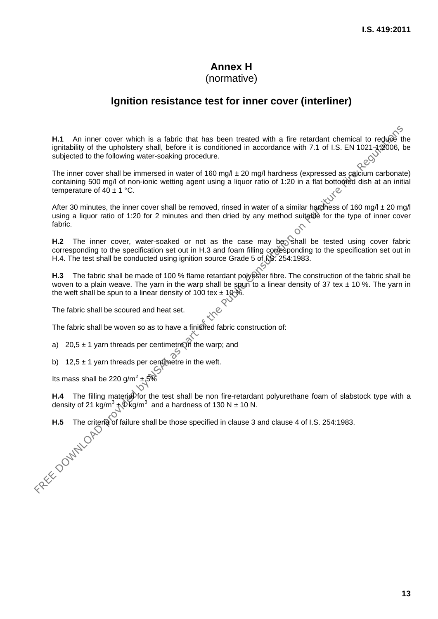# **Annex H**

# (normative)

## **Ignition resistance test for inner cover (interliner)**

H.1 An inner cover which is a fabric that has been treated with a fire retardant chemical to reduce the ignitability of the upholstery shall, before it is conditioned in accordance with 7.1 of I.S. EN 1021-1:2006, be subjected to the following water-soaking procedure. **H.1** An inner cover which is a fabric that has been treated with a fire retardant chemical to regulative distantibulative of the probable provident is consultantly at the probable procedure.<br>
The inner cover shall be imm

The inner cover shall be immersed in water of 160 mg/l  $\pm$  20 mg/l hardness (expressed as calcium carbonate) containing 500 mg/l of non-ionic wetting agent using a liquor ratio of 1:20 in a flat bottomed dish at an initial temperature of  $40 \pm 1$  °C.

After 30 minutes, the inner cover shall be removed, rinsed in water of a similar hardness of 160 mg/l  $\pm$  20 mg/l using a liquor ratio of 1:20 for 2 minutes and then dried by any method suitable for the type of inner cover fabric.

H.2 The inner cover, water-soaked or not as the case may be shall be tested using cover fabric corresponding to the specification set out in H.3 and foam filling corresponding to the specification set out in H.4. The test shall be conducted using ignition source Grade 5 of  $\frac{15}{12}$  254:1983.

**H.3** The fabric shall be made of 100 % flame retardant polyester fibre. The construction of the fabric shall be woven to a plain weave. The yarn in the warp shall be spun to a linear density of 37 tex  $\pm$  10 %. The yarn in the weft shall be spun to a linear density of 100 tex  $\pm$  10 %.

The fabric shall be scoured and heat set.

The fabric shall be woven so as to have a finished fabric construction of:

a) 20,5  $\pm$  1 yarn threads per centimetre in the warp; and

b) 12,5  $\pm$  1 yarn threads per centimetre in the weft.

Its mass shall be 220 g/m<sup>2</sup>  $\pm$  5%

**H.4** The filling material for the test shall be non fire-retardant polyurethane foam of slabstock type with a density of 21 kg/m<sup>3</sup>  $\oint$  kg/m<sup>3</sup> and a hardness of 130 N  $\pm$  10 N.

**H.5** The criteria of failure shall be those specified in clause 3 and clause 4 of I.S. 254:1983.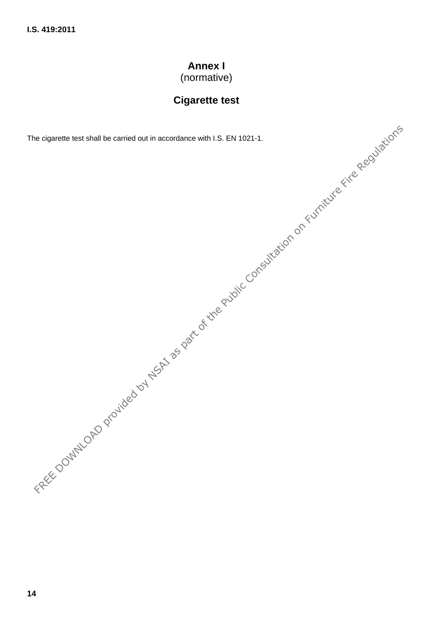# **Annex I**

(normative)

# **Cigarette test**

The cigarette test shall be carried out in accordance with I.S. EN 1021-1.

FREE DOWNLOAD PROVIDED WAS ARRESTED FOR DRIVING CONSULTATION ON EXPRESSION ON EXPRESSION ON FURNITURE REGISTERATIONS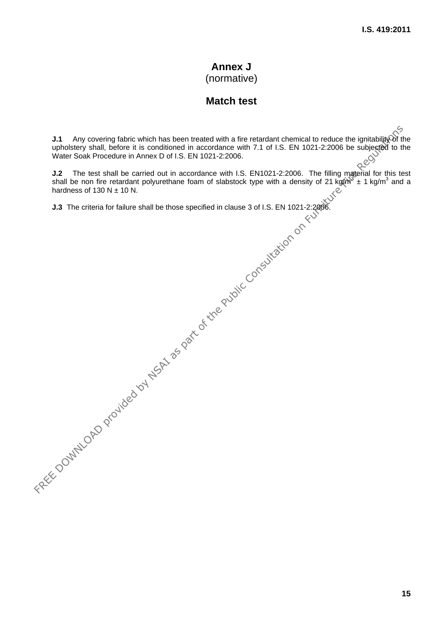# **Annex J**  (normative)

# **Match test**

Any covering fabric which has been treated with a fire retardant chemical to reduce the ignitability of the upholstery shall, before it is conditioned in accordance with 7.1 of I.S. EN 1021-2:2006 be subjected to the Water Soak Procedure in Annex D of I.S. EN 1021-2:2006. **J.1** Any covering fabric which has been teated with a fire retardant chemical to reduce the ignitability when the scole of the Consultation on FREE DOWNLOF, The EIN 1021-2:2006 be subjected to the Public Consultation of

**J.2** The test shall be carried out in accordance with I.S. EN1021-2:2006. The filling material for this test shall be non fire retardant polyurethane foam of slabstock type with a density of 21 kg $\sin^3 x + 1$  kg/m<sup>3</sup> and a hardness of 130 N  $\pm$  10 N.

**J.3** The criteria for failure shall be those specified in clause 3 of I.S. EN 1021-2:2006.

**15**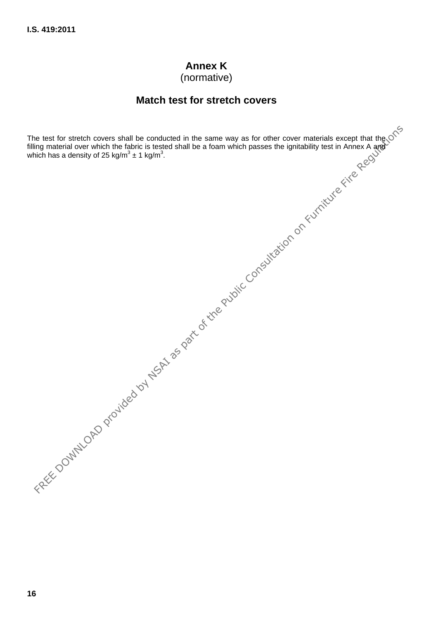# **Annex K**

(normative)

## **Match test for stretch covers**

The test for stretch covers shall be conducted in the same way as for other cover materials except that the filling material over which the fabric is tested shall be a foam which passes the ignitability test in Annex A and which has a density of 25 kg/m<sup>3</sup>  $\pm$  1 kg/m<sup>3</sup>. FREE DOWNLOAD PROVIDED AND CONSULTER A CONSULTATION OF THE PUBLIC CONSULTATION OF THE PUBLIC CONSULTATION OF THE PUBLIC CONSULTATION OF THE PUBLIC CONSULTATION OF THE PUBLIC CONSULTATION OF THE PUBLIC CONSULTATION OF THE P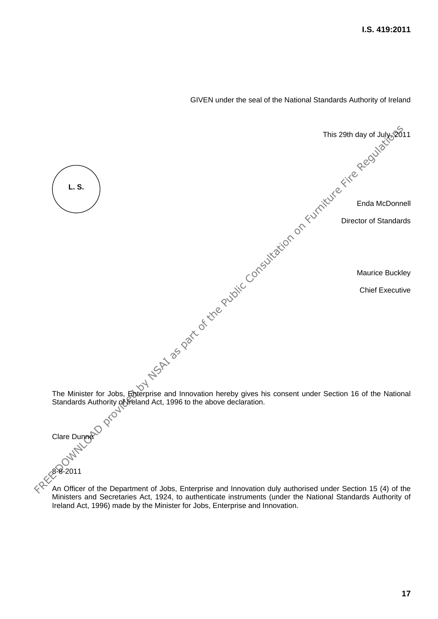

GIVEN under the seal of the National Standards Authority of Ireland

An Officer of the Department of Jobs, Enterprise and Innovation duly authorised under Section 15 (4) of the Ministers and Secretaries Act, 1924, to authenticate instruments (under the National Standards Authority of Ireland Act, 1996) made by the Minister for Jobs, Enterprise and Innovation.